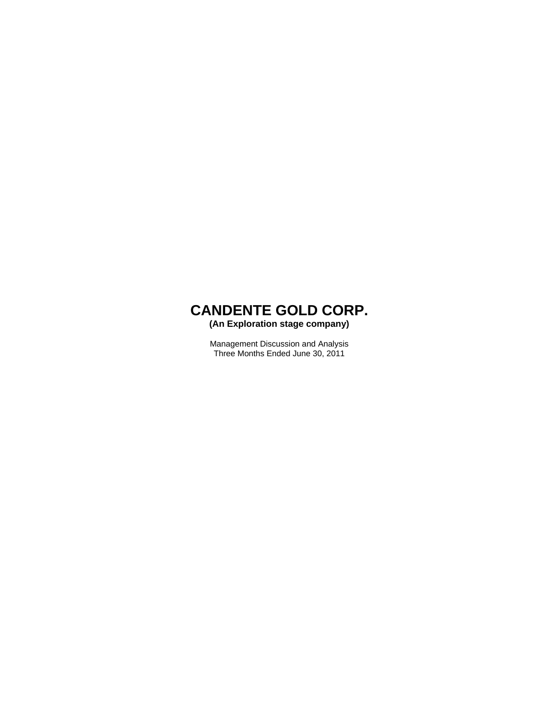

**(An Exploration stage company)** 

Management Discussion and Analysis Three Months Ended June 30, 2011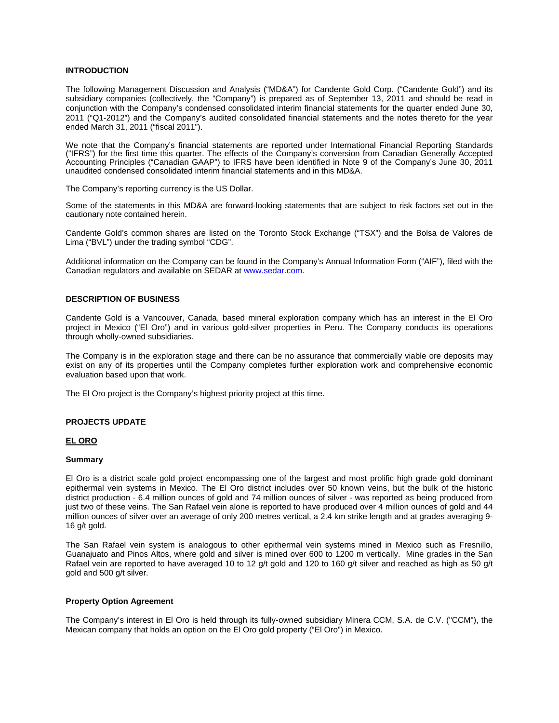### **INTRODUCTION**

The following Management Discussion and Analysis ("MD&A") for Candente Gold Corp. ("Candente Gold") and its subsidiary companies (collectively, the "Company") is prepared as of September 13, 2011 and should be read in conjunction with the Company's condensed consolidated interim financial statements for the quarter ended June 30, 2011 ("Q1-2012") and the Company's audited consolidated financial statements and the notes thereto for the year ended March 31, 2011 ("fiscal 2011").

We note that the Company's financial statements are reported under International Financial Reporting Standards ("IFRS") for the first time this quarter. The effects of the Company's conversion from Canadian Generally Accepted Accounting Principles ("Canadian GAAP") to IFRS have been identified in Note 9 of the Company's June 30, 2011 unaudited condensed consolidated interim financial statements and in this MD&A.

The Company's reporting currency is the US Dollar.

Some of the statements in this MD&A are forward-looking statements that are subject to risk factors set out in the cautionary note contained herein.

Candente Gold's common shares are listed on the Toronto Stock Exchange ("TSX") and the Bolsa de Valores de Lima ("BVL") under the trading symbol "CDG".

Additional information on the Company can be found in the Company's Annual Information Form ("AIF"), filed with the Canadian regulators and available on SEDAR at www.sedar.com.

#### **DESCRIPTION OF BUSINESS**

Candente Gold is a Vancouver, Canada, based mineral exploration company which has an interest in the El Oro project in Mexico ("El Oro") and in various gold-silver properties in Peru. The Company conducts its operations through wholly-owned subsidiaries.

The Company is in the exploration stage and there can be no assurance that commercially viable ore deposits may exist on any of its properties until the Company completes further exploration work and comprehensive economic evaluation based upon that work.

The El Oro project is the Company's highest priority project at this time.

### **PROJECTS UPDATE**

#### **EL ORO**

#### **Summary**

El Oro is a district scale gold project encompassing one of the largest and most prolific high grade gold dominant epithermal vein systems in Mexico. The El Oro district includes over 50 known veins, but the bulk of the historic district production - 6.4 million ounces of gold and 74 million ounces of silver - was reported as being produced from just two of these veins. The San Rafael vein alone is reported to have produced over 4 million ounces of gold and 44 million ounces of silver over an average of only 200 metres vertical, a 2.4 km strike length and at grades averaging 9- 16 g/t gold.

The San Rafael vein system is analogous to other epithermal vein systems mined in Mexico such as Fresnillo, Guanajuato and Pinos Altos, where gold and silver is mined over 600 to 1200 m vertically. Mine grades in the San Rafael vein are reported to have averaged 10 to 12 g/t gold and 120 to 160 g/t silver and reached as high as 50 g/t gold and 500 g/t silver.

#### **Property Option Agreement**

The Company's interest in El Oro is held through its fully-owned subsidiary Minera CCM, S.A. de C.V. ("CCM"), the Mexican company that holds an option on the El Oro gold property ("El Oro") in Mexico.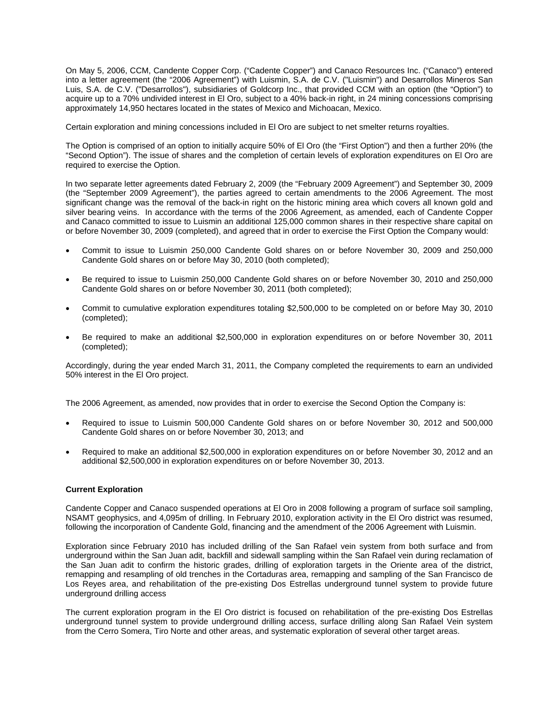On May 5, 2006, CCM, Candente Copper Corp. ("Cadente Copper") and Canaco Resources Inc. ("Canaco") entered into a letter agreement (the "2006 Agreement") with Luismin, S.A. de C.V. ("Luismin") and Desarrollos Mineros San Luis, S.A. de C.V. ("Desarrollos"), subsidiaries of Goldcorp Inc., that provided CCM with an option (the "Option") to acquire up to a 70% undivided interest in El Oro, subject to a 40% back-in right, in 24 mining concessions comprising approximately 14,950 hectares located in the states of Mexico and Michoacan, Mexico.

Certain exploration and mining concessions included in El Oro are subject to net smelter returns royalties.

The Option is comprised of an option to initially acquire 50% of El Oro (the "First Option") and then a further 20% (the "Second Option"). The issue of shares and the completion of certain levels of exploration expenditures on El Oro are required to exercise the Option.

In two separate letter agreements dated February 2, 2009 (the "February 2009 Agreement") and September 30, 2009 (the "September 2009 Agreement"), the parties agreed to certain amendments to the 2006 Agreement. The most significant change was the removal of the back-in right on the historic mining area which covers all known gold and silver bearing veins. In accordance with the terms of the 2006 Agreement, as amended, each of Candente Copper and Canaco committed to issue to Luismin an additional 125,000 common shares in their respective share capital on or before November 30, 2009 (completed), and agreed that in order to exercise the First Option the Company would:

- Commit to issue to Luismin 250,000 Candente Gold shares on or before November 30, 2009 and 250,000 Candente Gold shares on or before May 30, 2010 (both completed);
- Be required to issue to Luismin 250,000 Candente Gold shares on or before November 30, 2010 and 250,000 Candente Gold shares on or before November 30, 2011 (both completed);
- Commit to cumulative exploration expenditures totaling \$2,500,000 to be completed on or before May 30, 2010 (completed);
- Be required to make an additional \$2,500,000 in exploration expenditures on or before November 30, 2011 (completed);

Accordingly, during the year ended March 31, 2011, the Company completed the requirements to earn an undivided 50% interest in the El Oro project.

The 2006 Agreement, as amended, now provides that in order to exercise the Second Option the Company is:

- Required to issue to Luismin 500,000 Candente Gold shares on or before November 30, 2012 and 500,000 Candente Gold shares on or before November 30, 2013; and
- Required to make an additional \$2,500,000 in exploration expenditures on or before November 30, 2012 and an additional \$2,500,000 in exploration expenditures on or before November 30, 2013.

### **Current Exploration**

Candente Copper and Canaco suspended operations at El Oro in 2008 following a program of surface soil sampling, NSAMT geophysics, and 4,095m of drilling. In February 2010, exploration activity in the El Oro district was resumed, following the incorporation of Candente Gold, financing and the amendment of the 2006 Agreement with Luismin.

Exploration since February 2010 has included drilling of the San Rafael vein system from both surface and from underground within the San Juan adit, backfill and sidewall sampling within the San Rafael vein during reclamation of the San Juan adit to confirm the historic grades, drilling of exploration targets in the Oriente area of the district, remapping and resampling of old trenches in the Cortaduras area, remapping and sampling of the San Francisco de Los Reyes area, and rehabilitation of the pre-existing Dos Estrellas underground tunnel system to provide future underground drilling access

The current exploration program in the El Oro district is focused on rehabilitation of the pre-existing Dos Estrellas underground tunnel system to provide underground drilling access, surface drilling along San Rafael Vein system from the Cerro Somera, Tiro Norte and other areas, and systematic exploration of several other target areas.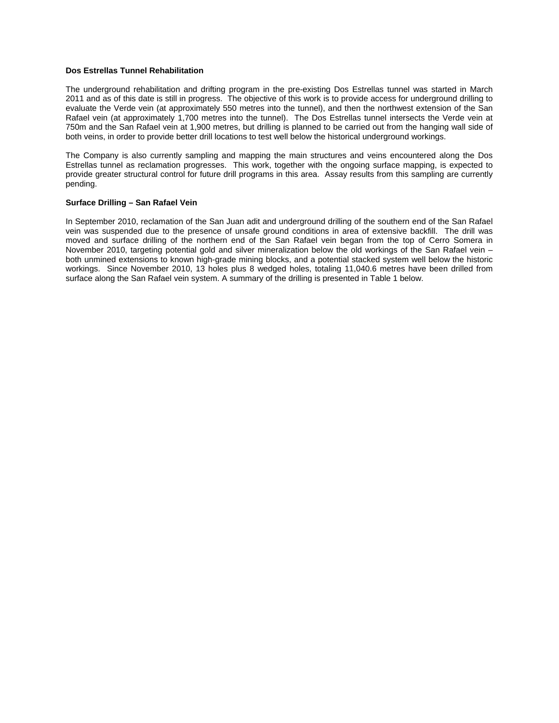### **Dos Estrellas Tunnel Rehabilitation**

The underground rehabilitation and drifting program in the pre-existing Dos Estrellas tunnel was started in March 2011 and as of this date is still in progress. The objective of this work is to provide access for underground drilling to evaluate the Verde vein (at approximately 550 metres into the tunnel), and then the northwest extension of the San Rafael vein (at approximately 1,700 metres into the tunnel). The Dos Estrellas tunnel intersects the Verde vein at 750m and the San Rafael vein at 1,900 metres, but drilling is planned to be carried out from the hanging wall side of both veins, in order to provide better drill locations to test well below the historical underground workings.

The Company is also currently sampling and mapping the main structures and veins encountered along the Dos Estrellas tunnel as reclamation progresses. This work, together with the ongoing surface mapping, is expected to provide greater structural control for future drill programs in this area. Assay results from this sampling are currently pending.

### **Surface Drilling – San Rafael Vein**

In September 2010, reclamation of the San Juan adit and underground drilling of the southern end of the San Rafael vein was suspended due to the presence of unsafe ground conditions in area of extensive backfill. The drill was moved and surface drilling of the northern end of the San Rafael vein began from the top of Cerro Somera in November 2010, targeting potential gold and silver mineralization below the old workings of the San Rafael vein – both unmined extensions to known high-grade mining blocks, and a potential stacked system well below the historic workings. Since November 2010, 13 holes plus 8 wedged holes, totaling 11,040.6 metres have been drilled from surface along the San Rafael vein system. A summary of the drilling is presented in Table 1 below.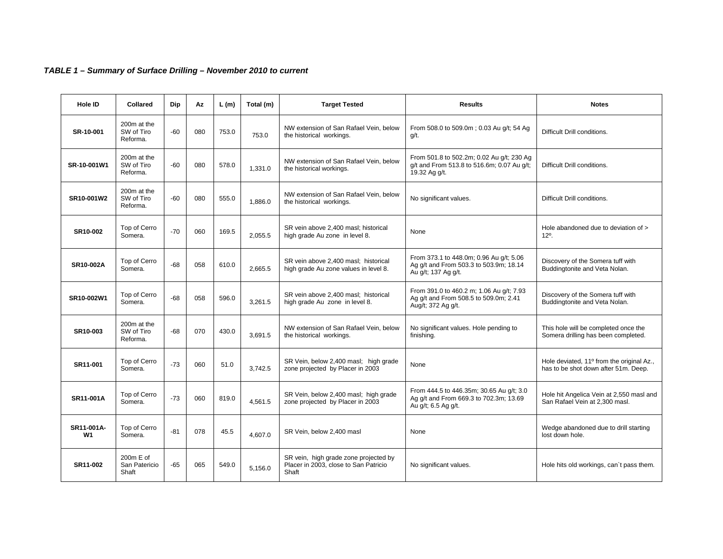# *TABLE 1 – Summary of Surface Drilling – November 2010 to current*

| Hole ID                      | Collared                              | Dip   | Az  | L(m)  | Total (m) | <b>Target Tested</b>                                                                    | <b>Results</b>                                                                                            | <b>Notes</b>                                                                      |
|------------------------------|---------------------------------------|-------|-----|-------|-----------|-----------------------------------------------------------------------------------------|-----------------------------------------------------------------------------------------------------------|-----------------------------------------------------------------------------------|
| SR-10-001                    | 200m at the<br>SW of Tiro<br>Reforma. | -60   | 080 | 753.0 | 753.0     | NW extension of San Rafael Vein, below<br>the historical workings.                      | From 508.0 to 509.0m; 0.03 Au g/t; 54 Ag<br>g/t.                                                          | Difficult Drill conditions.                                                       |
| SR-10-001W1                  | 200m at the<br>SW of Tiro<br>Reforma. | $-60$ | 080 | 578.0 | 1,331.0   | NW extension of San Rafael Vein, below<br>the historical workings.                      | From 501.8 to 502.2m; 0.02 Au g/t; 230 Ag<br>g/t and From 513.8 to 516.6m; 0.07 Au g/t;<br>19.32 Ag g/t.  | Difficult Drill conditions.                                                       |
| SR10-001W2                   | 200m at the<br>SW of Tiro<br>Reforma. | $-60$ | 080 | 555.0 | 1,886.0   | NW extension of San Rafael Vein, below<br>the historical workings.                      | No significant values.                                                                                    | Difficult Drill conditions.                                                       |
| SR10-002                     | Top of Cerro<br>Somera.               | $-70$ | 060 | 169.5 | 2,055.5   | SR vein above 2,400 masl; historical<br>high grade Au zone in level 8.                  | None                                                                                                      | Hole abandoned due to deviation of ><br>$12^{\circ}$ .                            |
| SR10-002A                    | Top of Cerro<br>Somera.               | $-68$ | 058 | 610.0 | 2.665.5   | SR vein above 2,400 masl; historical<br>high grade Au zone values in level 8.           | From 373.1 to 448.0m; 0.96 Au g/t; 5.06<br>Ag g/t and From 503.3 to 503.9m; 18.14<br>Au g/t; 137 Ag g/t.  | Discovery of the Somera tuff with<br>Buddingtonite and Veta Nolan.                |
| SR10-002W1                   | Top of Cerro<br>Somera.               | -68   | 058 | 596.0 | 3,261.5   | SR vein above 2,400 masl; historical<br>high grade Au zone in level 8.                  | From 391.0 to 460.2 m; 1.06 Au g/t; 7.93<br>Ag g/t and From 508.5 to 509.0m; 2.41<br>Aug/t; 372 Ag g/t.   | Discovery of the Somera tuff with<br>Buddingtonite and Veta Nolan.                |
| SR10-003                     | 200m at the<br>SW of Tiro<br>Reforma. | $-68$ | 070 | 430.0 | 3,691.5   | NW extension of San Rafael Vein, below<br>the historical workings.                      | No significant values. Hole pending to<br>finishing.                                                      | This hole will be completed once the<br>Somera drilling has been completed.       |
| SR11-001                     | Top of Cerro<br>Somera.               | $-73$ | 060 | 51.0  | 3.742.5   | SR Vein, below 2,400 masl; high grade<br>zone projected by Placer in 2003               | None                                                                                                      | Hole deviated, 11º from the original Az.,<br>has to be shot down after 51m. Deep. |
| SR11-001A                    | Top of Cerro<br>Somera.               | $-73$ | 060 | 819.0 | 4,561.5   | SR Vein, below 2,400 masl; high grade<br>zone projected by Placer in 2003               | From 444.5 to 446.35m; 30.65 Au g/t; 3.0<br>Ag g/t and From 669.3 to 702.3m; 13.69<br>Au g/t; 6.5 Ag g/t. | Hole hit Angelica Vein at 2,550 masl and<br>San Rafael Vein at 2,300 masl.        |
| SR11-001A-<br>W <sub>1</sub> | Top of Cerro<br>Somera.               | $-81$ | 078 | 45.5  | 4.607.0   | SR Vein, below 2,400 masl                                                               | None                                                                                                      | Wedge abandoned due to drill starting<br>lost down hole.                          |
| SR11-002                     | 200m E of<br>San Patericio<br>Shaft   | -65   | 065 | 549.0 | 5,156.0   | SR vein, high grade zone projected by<br>Placer in 2003, close to San Patricio<br>Shaft | No significant values.                                                                                    | Hole hits old workings, can't pass them.                                          |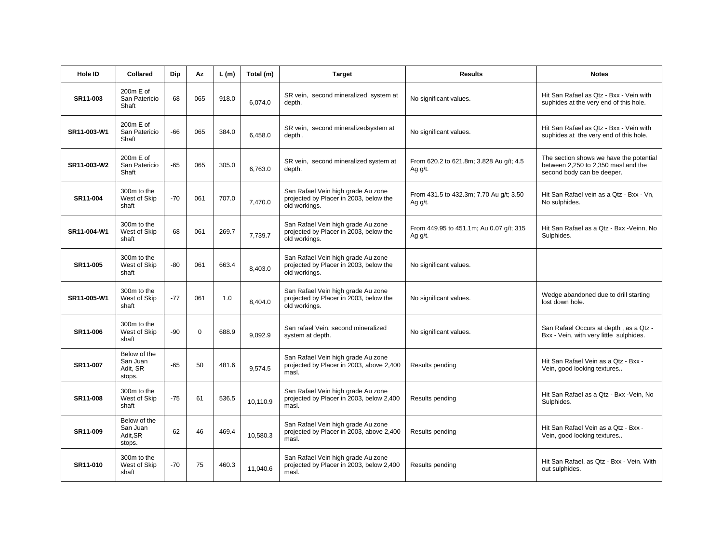| <b>Hole ID</b> | <b>Collared</b>                                | Dip   | Az          | L(m)  | Total (m) | <b>Target</b>                                                                                 | <b>Results</b>                                                                                                | <b>Notes</b>                                                                                                 |
|----------------|------------------------------------------------|-------|-------------|-------|-----------|-----------------------------------------------------------------------------------------------|---------------------------------------------------------------------------------------------------------------|--------------------------------------------------------------------------------------------------------------|
| SR11-003       | 200m E of<br>San Patericio<br>Shaft            | $-68$ | 065         | 918.0 | 6,074.0   | SR vein, second mineralized system at<br>depth.                                               | No significant values.                                                                                        | Hit San Rafael as Qtz - Bxx - Vein with<br>suphides at the very end of this hole.                            |
| SR11-003-W1    | 200m E of<br>San Patericio<br>Shaft            | $-66$ | 065         | 384.0 | 6,458.0   | SR vein, second mineralizedsystem at<br>depth.                                                | No significant values.                                                                                        | Hit San Rafael as Qtz - Bxx - Vein with<br>suphides at the very end of this hole.                            |
| SR11-003-W2    | $200m \text{ E of}$<br>San Patericio<br>Shaft  | $-65$ | 065         | 305.0 | 6,763.0   | SR vein, second mineralized system at<br>depth.                                               | From 620.2 to 621.8m; 3.828 Au g/t; 4.5<br>Ag $g/t$ .                                                         | The section shows we have the potential<br>between 2,250 to 2,350 masl and the<br>second body can be deeper. |
| SR11-004       | 300m to the<br>West of Skip<br>shaft           | $-70$ | 061         | 707.0 | 7,470.0   | San Rafael Vein high grade Au zone<br>projected by Placer in 2003, below the<br>old workings. | From 431.5 to 432.3m; 7.70 Au q/t; 3.50<br>Ag g/t.                                                            | Hit San Rafael vein as a Qtz - Bxx - Vn,<br>No sulphides.                                                    |
| SR11-004-W1    | 300m to the<br>West of Skip<br>shaft           | $-68$ | 061         | 269.7 | 7,739.7   | San Rafael Vein high grade Au zone<br>projected by Placer in 2003, below the<br>old workings. | From 449.95 to 451.1m; Au 0.07 g/t; 315<br>Hit San Rafael as a Qtz - Bxx - Veinn, No<br>Sulphides.<br>Ag g/t. |                                                                                                              |
| SR11-005       | 300m to the<br>West of Skip<br>shaft           | $-80$ | 061         | 663.4 | 8,403.0   | San Rafael Vein high grade Au zone<br>projected by Placer in 2003, below the<br>old workings. | No significant values.                                                                                        |                                                                                                              |
| SR11-005-W1    | 300m to the<br>West of Skip<br>shaft           | $-77$ | 061         | 1.0   | 8,404.0   | San Rafael Vein high grade Au zone<br>projected by Placer in 2003, below the<br>old workings. | No significant values.                                                                                        |                                                                                                              |
| SR11-006       | 300m to the<br>West of Skip<br>shaft           | -90   | $\mathbf 0$ | 688.9 | 9,092.9   | San rafael Vein, second mineralized<br>system at depth.                                       | No significant values.                                                                                        | San Rafael Occurs at depth, as a Qtz -<br>Bxx - Vein, with very little sulphides.                            |
| SR11-007       | Below of the<br>San Juan<br>Adit, SR<br>stops. | $-65$ | 50          | 481.6 | 9,574.5   | San Rafael Vein high grade Au zone<br>projected by Placer in 2003, above 2,400<br>masl.       | Results pending                                                                                               | Hit San Rafael Vein as a Qtz - Bxx -<br>Vein, good looking textures                                          |
| SR11-008       | 300m to the<br>West of Skip<br>shaft           | $-75$ | 61          | 536.5 | 10,110.9  | San Rafael Vein high grade Au zone<br>projected by Placer in 2003, below 2,400<br>masl.       | Results pending                                                                                               | Hit San Rafael as a Qtz - Bxx - Vein, No<br>Sulphides.                                                       |
| SR11-009       | Below of the<br>San Juan<br>Adit, SR<br>stops. | -62   | 46          | 469.4 | 10,580.3  | San Rafael Vein high grade Au zone<br>projected by Placer in 2003, above 2,400<br>masl.       | Results pending                                                                                               | Hit San Rafael Vein as a Qtz - Bxx -<br>Vein, good looking textures                                          |
| SR11-010       | 300m to the<br>West of Skip<br>shaft           | $-70$ | 75          | 460.3 | 11,040.6  | San Rafael Vein high grade Au zone<br>projected by Placer in 2003, below 2,400<br>masl.       | Results pending                                                                                               | Hit San Rafael, as Qtz - Bxx - Vein. With<br>out sulphides.                                                  |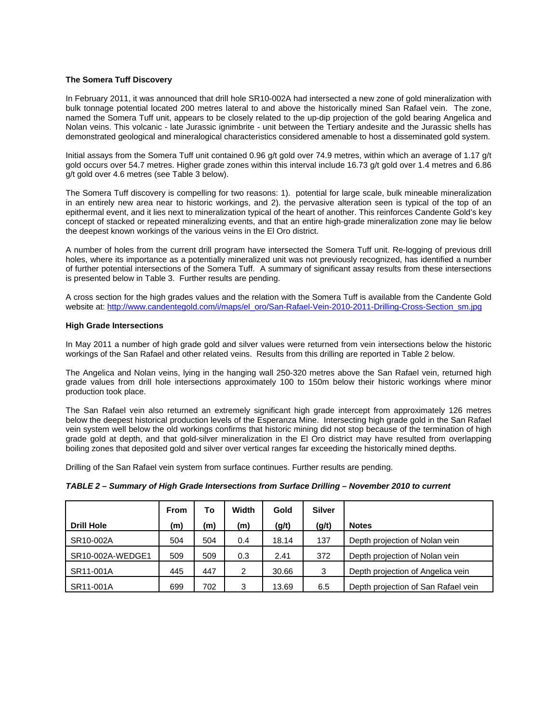### **The Somera Tuff Discovery**

In February 2011, it was announced that drill hole SR10-002A had intersected a new zone of gold mineralization with bulk tonnage potential located 200 metres lateral to and above the historically mined San Rafael vein. The zone, named the Somera Tuff unit, appears to be closely related to the up-dip projection of the gold bearing Angelica and Nolan veins. This volcanic - late Jurassic ignimbrite - unit between the Tertiary andesite and the Jurassic shells has demonstrated geological and mineralogical characteristics considered amenable to host a disseminated gold system.

Initial assays from the Somera Tuff unit contained 0.96 g/t gold over 74.9 metres, within which an average of 1.17 g/t gold occurs over 54.7 metres. Higher grade zones within this interval include 16.73 g/t gold over 1.4 metres and 6.86 g/t gold over 4.6 metres (see Table 3 below).

The Somera Tuff discovery is compelling for two reasons: 1). potential for large scale, bulk mineable mineralization in an entirely new area near to historic workings, and 2). the pervasive alteration seen is typical of the top of an epithermal event, and it lies next to mineralization typical of the heart of another. This reinforces Candente Gold's key concept of stacked or repeated mineralizing events, and that an entire high-grade mineralization zone may lie below the deepest known workings of the various veins in the El Oro district.

A number of holes from the current drill program have intersected the Somera Tuff unit. Re-logging of previous drill holes, where its importance as a potentially mineralized unit was not previously recognized, has identified a number of further potential intersections of the Somera Tuff. A summary of significant assay results from these intersections is presented below in Table 3. Further results are pending.

A cross section for the high grades values and the relation with the Somera Tuff is available from the Candente Gold website at: http://www.candentegold.com/i/maps/el\_oro/San-Rafael-Vein-2010-2011-Drilling-Cross-Section\_sm.jpg

#### **High Grade Intersections**

In May 2011 a number of high grade gold and silver values were returned from vein intersections below the historic workings of the San Rafael and other related veins. Results from this drilling are reported in Table 2 below.

The Angelica and Nolan veins, lying in the hanging wall 250-320 metres above the San Rafael vein, returned high grade values from drill hole intersections approximately 100 to 150m below their historic workings where minor production took place.

The San Rafael vein also returned an extremely significant high grade intercept from approximately 126 metres below the deepest historical production levels of the Esperanza Mine. Intersecting high grade gold in the San Rafael vein system well below the old workings confirms that historic mining did not stop because of the termination of high grade gold at depth, and that gold-silver mineralization in the El Oro district may have resulted from overlapping boiling zones that deposited gold and silver over vertical ranges far exceeding the historically mined depths.

Drilling of the San Rafael vein system from surface continues. Further results are pending.

|  |  |  |  | TABLE 2 - Summary of High Grade Intersections from Surface Drilling - November 2010 to current |
|--|--|--|--|------------------------------------------------------------------------------------------------|
|--|--|--|--|------------------------------------------------------------------------------------------------|

|                   | <b>From</b> | To  | Width | Gold  | <b>Silver</b> |                                     |
|-------------------|-------------|-----|-------|-------|---------------|-------------------------------------|
| <b>Drill Hole</b> | (m)         | (m) | (m)   | (g/t) | (g/t)         | <b>Notes</b>                        |
| SR10-002A         | 504         | 504 | 0.4   | 18.14 | 137           | Depth projection of Nolan vein      |
| SR10-002A-WEDGE1  | 509         | 509 | 0.3   | 2.41  | 372           | Depth projection of Nolan vein      |
| SR11-001A         | 445         | 447 | 2     | 30.66 | 3             | Depth projection of Angelica vein   |
| SR11-001A         | 699         | 702 | 3     | 13.69 | 6.5           | Depth projection of San Rafael vein |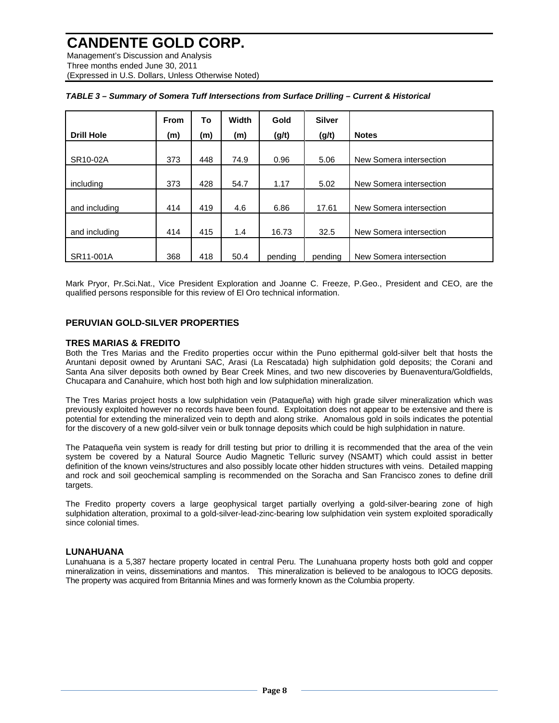Management's Discussion and Analysis Three months ended June 30, 2011 (Expressed in U.S. Dollars, Unless Otherwise Noted)

|                   | <b>From</b> | To  | <b>Width</b> | Gold    | <b>Silver</b> |                         |
|-------------------|-------------|-----|--------------|---------|---------------|-------------------------|
| <b>Drill Hole</b> | (m)         | (m) | (m)          | (g/t)   | (g/t)         | <b>Notes</b>            |
|                   |             |     |              |         |               |                         |
| SR10-02A          | 373         | 448 | 74.9         | 0.96    | 5.06          | New Somera intersection |
|                   |             |     |              |         |               |                         |
| includina         | 373         | 428 | 54.7         | 1.17    | 5.02          | New Somera intersection |
|                   |             |     |              |         |               |                         |
| and including     | 414         | 419 | 4.6          | 6.86    | 17.61         | New Somera intersection |
|                   |             |     |              |         |               |                         |
| and including     | 414         | 415 | 1.4          | 16.73   | 32.5          | New Somera intersection |
|                   |             |     |              |         |               |                         |
| SR11-001A         | 368         | 418 | 50.4         | pending | pending       | New Somera intersection |

Mark Pryor, Pr.Sci.Nat., Vice President Exploration and Joanne C. Freeze, P.Geo., President and CEO, are the qualified persons responsible for this review of El Oro technical information.

### **PERUVIAN GOLD-SILVER PROPERTIES**

### **TRES MARIAS & FREDITO**

Both the Tres Marias and the Fredito properties occur within the Puno epithermal gold-silver belt that hosts the Aruntani deposit owned by Aruntani SAC, Arasi (La Rescatada) high sulphidation gold deposits; the Corani and Santa Ana silver deposits both owned by Bear Creek Mines, and two new discoveries by Buenaventura/Goldfields, Chucapara and Canahuire, which host both high and low sulphidation mineralization.

The Tres Marias project hosts a low sulphidation vein (Pataqueña) with high grade silver mineralization which was previously exploited however no records have been found. Exploitation does not appear to be extensive and there is potential for extending the mineralized vein to depth and along strike. Anomalous gold in soils indicates the potential for the discovery of a new gold-silver vein or bulk tonnage deposits which could be high sulphidation in nature.

The Pataqueña vein system is ready for drill testing but prior to drilling it is recommended that the area of the vein system be covered by a Natural Source Audio Magnetic Telluric survey (NSAMT) which could assist in better definition of the known veins/structures and also possibly locate other hidden structures with veins. Detailed mapping and rock and soil geochemical sampling is recommended on the Soracha and San Francisco zones to define drill targets.

The Fredito property covers a large geophysical target partially overlying a gold-silver-bearing zone of high sulphidation alteration, proximal to a gold-silver-lead-zinc-bearing low sulphidation vein system exploited sporadically since colonial times.

### **LUNAHUANA**

Lunahuana is a 5,387 hectare property located in central Peru. The Lunahuana property hosts both gold and copper mineralization in veins, disseminations and mantos. This mineralization is believed to be analogous to IOCG deposits. The property was acquired from Britannia Mines and was formerly known as the Columbia property.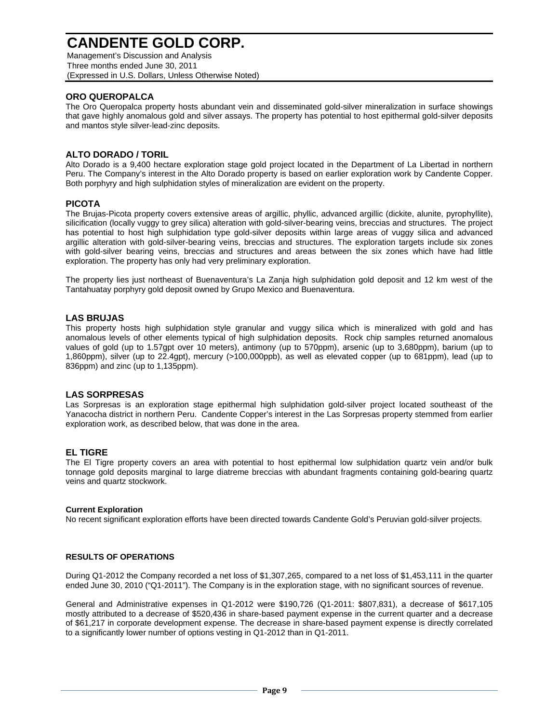Management's Discussion and Analysis Three months ended June 30, 2011 (Expressed in U.S. Dollars, Unless Otherwise Noted)

# **ORO QUEROPALCA**

The Oro Queropalca property hosts abundant vein and disseminated gold-silver mineralization in surface showings that gave highly anomalous gold and silver assays. The property has potential to host epithermal gold-silver deposits and mantos style silver-lead-zinc deposits.

## **ALTO DORADO / TORIL**

Alto Dorado is a 9,400 hectare exploration stage gold project located in the Department of La Libertad in northern Peru. The Company's interest in the Alto Dorado property is based on earlier exploration work by Candente Copper. Both porphyry and high sulphidation styles of mineralization are evident on the property.

# **PICOTA**

The Brujas-Picota property covers extensive areas of argillic, phyllic, advanced argillic (dickite, alunite, pyrophyllite), silicification (locally vuggy to grey silica) alteration with gold-silver-bearing veins, breccias and structures. The project has potential to host high sulphidation type gold-silver deposits within large areas of vuggy silica and advanced argillic alteration with gold-silver-bearing veins, breccias and structures. The exploration targets include six zones with gold-silver bearing veins, breccias and structures and areas between the six zones which have had little exploration. The property has only had very preliminary exploration.

The property lies just northeast of Buenaventura's La Zanja high sulphidation gold deposit and 12 km west of the Tantahuatay porphyry gold deposit owned by Grupo Mexico and Buenaventura.

# **LAS BRUJAS**

This property hosts high sulphidation style granular and vuggy silica which is mineralized with gold and has anomalous levels of other elements typical of high sulphidation deposits. Rock chip samples returned anomalous values of gold (up to 1.57gpt over 10 meters), antimony (up to 570ppm), arsenic (up to 3,680ppm), barium (up to 1,860ppm), silver (up to 22.4gpt), mercury (>100,000ppb), as well as elevated copper (up to 681ppm), lead (up to 836ppm) and zinc (up to 1,135ppm).

## **LAS SORPRESAS**

Las Sorpresas is an exploration stage epithermal high sulphidation gold-silver project located southeast of the Yanacocha district in northern Peru. Candente Copper's interest in the Las Sorpresas property stemmed from earlier exploration work, as described below, that was done in the area.

## **EL TIGRE**

The El Tigre property covers an area with potential to host epithermal low sulphidation quartz vein and/or bulk tonnage gold deposits marginal to large diatreme breccias with abundant fragments containing gold-bearing quartz veins and quartz stockwork.

## **Current Exploration**

No recent significant exploration efforts have been directed towards Candente Gold's Peruvian gold-silver projects.

## **RESULTS OF OPERATIONS**

During Q1-2012 the Company recorded a net loss of \$1,307,265, compared to a net loss of \$1,453,111 in the quarter ended June 30, 2010 ("Q1-2011"). The Company is in the exploration stage, with no significant sources of revenue.

General and Administrative expenses in Q1-2012 were \$190,726 (Q1-2011: \$807,831), a decrease of \$617,105 mostly attributed to a decrease of \$520,436 in share-based payment expense in the current quarter and a decrease of \$61,217 in corporate development expense. The decrease in share-based payment expense is directly correlated to a significantly lower number of options vesting in Q1-2012 than in Q1-2011.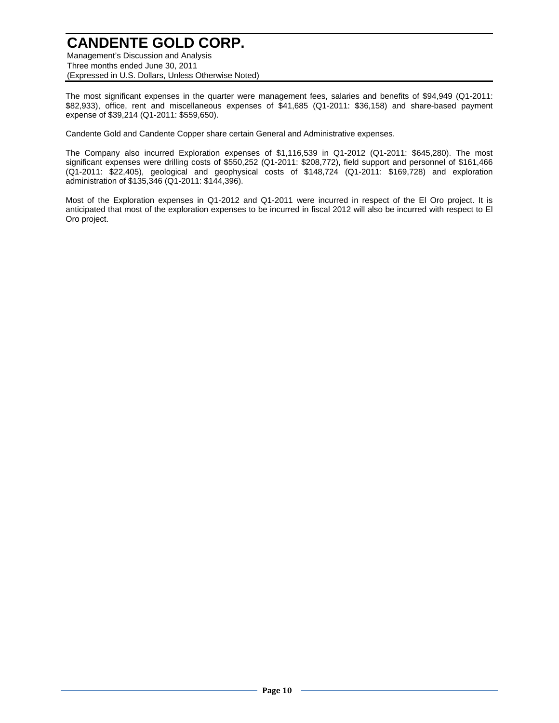Management's Discussion and Analysis Three months ended June 30, 2011 (Expressed in U.S. Dollars, Unless Otherwise Noted)

The most significant expenses in the quarter were management fees, salaries and benefits of \$94,949 (Q1-2011: \$82,933), office, rent and miscellaneous expenses of \$41,685 (Q1-2011: \$36,158) and share-based payment expense of \$39,214 (Q1-2011: \$559,650).

Candente Gold and Candente Copper share certain General and Administrative expenses.

The Company also incurred Exploration expenses of \$1,116,539 in Q1-2012 (Q1-2011: \$645,280). The most significant expenses were drilling costs of \$550,252 (Q1-2011: \$208,772), field support and personnel of \$161,466 (Q1-2011: \$22,405), geological and geophysical costs of \$148,724 (Q1-2011: \$169,728) and exploration administration of \$135,346 (Q1-2011: \$144,396).

Most of the Exploration expenses in Q1-2012 and Q1-2011 were incurred in respect of the El Oro project. It is anticipated that most of the exploration expenses to be incurred in fiscal 2012 will also be incurred with respect to El Oro project.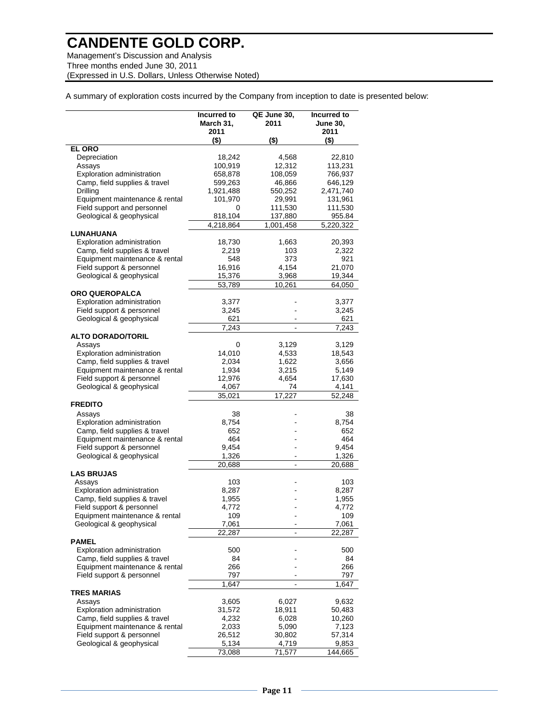Management's Discussion and Analysis Three months ended June 30, 2011 (Expressed in U.S. Dollars, Unless Otherwise Noted)

A summary of exploration costs incurred by the Company from inception to date is presented below:

|                                                               | Incurred to<br>March 31,<br>2011 | QE June 30,<br>2011 | Incurred to<br><b>June 30,</b><br>2011 |
|---------------------------------------------------------------|----------------------------------|---------------------|----------------------------------------|
|                                                               | $($ \$)                          | $($ \$)             | $($ \$)                                |
| <b>EL ORO</b>                                                 |                                  |                     |                                        |
| Depreciation                                                  | 18,242                           | 4,568               | 22,810                                 |
| Assays                                                        | 100,919                          | 12,312              | 113,231                                |
| Exploration administration                                    | 658,878                          | 108,059             | 766,937                                |
| Camp, field supplies & travel                                 | 599,263                          | 46,866              | 646,129                                |
| Drilling                                                      | 1,921,488                        | 550,252             | 2,471,740                              |
| Equipment maintenance & rental<br>Field support and personnel | 101,970<br>0                     | 29,991<br>111,530   | 131,961<br>111,530                     |
| Geological & geophysical                                      | 818,104                          | 137,880             | 955.84                                 |
|                                                               | 4,218,864                        | 1,001,458           | 5,220,322                              |
| LUNAHUANA                                                     |                                  |                     |                                        |
| Exploration administration                                    | 18,730                           | 1,663               | 20,393                                 |
| Camp, field supplies & travel                                 | 2,219                            | 103                 | 2,322                                  |
| Equipment maintenance & rental                                | 548                              | 373                 | 921                                    |
| Field support & personnel                                     | 16,916                           | 4,154               | 21,070                                 |
| Geological & geophysical                                      | 15,376                           | 3,968               | 19,344                                 |
|                                                               | 53,789                           | 10,261              | 64,050                                 |
| <b>ORO QUEROPALCA</b>                                         |                                  |                     |                                        |
| Exploration administration                                    | 3,377                            |                     | 3,377                                  |
| Field support & personnel<br>Geological & geophysical         | 3,245<br>621                     |                     | 3,245<br>621                           |
|                                                               | 7,243                            | ÷,                  | 7,243                                  |
| <b>ALTO DORADO/TORIL</b>                                      |                                  |                     |                                        |
| Assays                                                        | 0                                | 3,129               | 3,129                                  |
| Exploration administration                                    | 14,010                           | 4,533               | 18,543                                 |
| Camp, field supplies & travel                                 | 2,034                            | 1,622               | 3,656                                  |
| Equipment maintenance & rental                                | 1,934                            | 3,215               | 5,149                                  |
| Field support & personnel                                     | 12,976                           | 4,654               | 17,630                                 |
| Geological & geophysical                                      | 4,067<br>35,021                  | 74<br>17,227        | 4,141<br>52,248                        |
| <b>FREDITO</b>                                                |                                  |                     |                                        |
| Assays                                                        | 38                               |                     | 38                                     |
| Exploration administration                                    | 8,754                            |                     | 8,754                                  |
| Camp, field supplies & travel                                 | 652                              |                     | 652                                    |
| Equipment maintenance & rental                                | 464                              |                     | 464                                    |
| Field support & personnel                                     | 9,454                            |                     | 9,454                                  |
| Geological & geophysical                                      | 1,326                            |                     | 1,326                                  |
|                                                               | 20,688                           |                     | 20,688                                 |
| <b>LAS BRUJAS</b><br>Assays                                   | 103                              |                     | 103                                    |
| Exploration administration                                    | 8,287                            |                     | 8,287                                  |
| Camp, field supplies & travel                                 | 1,955                            |                     | 1,955                                  |
| Field support & personnel                                     | 4,772                            |                     | 4,772                                  |
| Equipment maintenance & rental                                | 109                              |                     | 109                                    |
| Geological & geophysical                                      | 7,061                            |                     | 7,061                                  |
|                                                               | 22,287                           |                     | 22,287                                 |
| <b>PAMEL</b>                                                  |                                  |                     |                                        |
| Exploration administration                                    | 500                              |                     | 500                                    |
| Camp, field supplies & travel                                 | 84                               |                     | 84                                     |
| Equipment maintenance & rental                                | 266                              |                     | 266                                    |
| Field support & personnel                                     | 797                              |                     | 797                                    |
|                                                               | 1,647                            |                     | 1,647                                  |
| TRES MARIAS                                                   |                                  | 6,027               |                                        |
| Assays<br>Exploration administration                          | 3,605<br>31,572                  | 18,911              | 9,632<br>50,483                        |
| Camp, field supplies & travel                                 | 4,232                            | 6,028               | 10,260                                 |
| Equipment maintenance & rental                                | 2,033                            | 5,090               | 7,123                                  |
| Field support & personnel                                     | 26,512                           | 30,802              | 57,314                                 |
| Geological & geophysical                                      | 5,134                            | 4,719               | 9,853                                  |
|                                                               | 73,088                           | 71,577              | 144,665                                |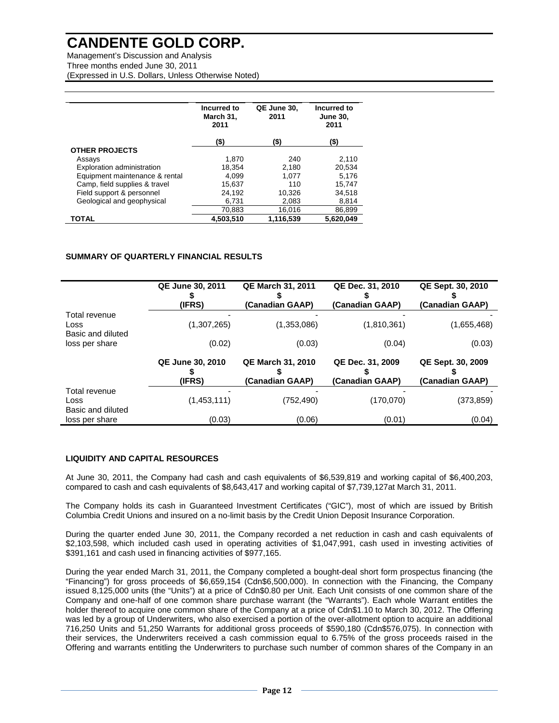Management's Discussion and Analysis Three months ended June 30, 2011 (Expressed in U.S. Dollars, Unless Otherwise Noted)

|                                | Incurred to<br>March 31,<br>2011 | QE June 30,<br>2011 | Incurred to<br><b>June 30,</b><br>2011 |
|--------------------------------|----------------------------------|---------------------|----------------------------------------|
|                                | (\$)                             | (\$)                | (\$)                                   |
| <b>OTHER PROJECTS</b>          |                                  |                     |                                        |
| Assays                         | 1.870                            | 240                 | 2,110                                  |
| Exploration administration     | 18,354                           | 2,180               | 20,534                                 |
| Equipment maintenance & rental | 4.099                            | 1.077               | 5.176                                  |
| Camp, field supplies & travel  | 15,637                           | 110                 | 15.747                                 |
| Field support & personnel      | 24.192                           | 10.326              | 34,518                                 |
| Geological and geophysical     | 6.731                            | 2.083               | 8,814                                  |
|                                | 70.883                           | 16.016              | 86,899                                 |
| TOTAL                          | 4.503.510                        | 1,116,539           | 5.620.049                              |

### **SUMMARY OF QUARTERLY FINANCIAL RESULTS**

|                                  | <b>QE June 30, 2011</b>           | <b>QE March 31, 2011</b>                    | QE Dec. 31, 2010                    | QE Sept. 30, 2010                    |
|----------------------------------|-----------------------------------|---------------------------------------------|-------------------------------------|--------------------------------------|
| Total revenue                    | (IFRS)                            | (Canadian GAAP)                             | (Canadian GAAP)                     | (Canadian GAAP)                      |
| Loss<br>Basic and diluted        | (1,307,265)                       | (1,353,086)                                 | (1,810,361)                         | (1,655,468)                          |
| loss per share                   | (0.02)                            | (0.03)                                      | (0.04)                              | (0.03)                               |
|                                  | <b>QE June 30, 2010</b><br>(IFRS) | <b>QE March 31, 2010</b><br>(Canadian GAAP) | QE Dec. 31, 2009<br>(Canadian GAAP) | QE Sept. 30, 2009<br>(Canadian GAAP) |
| Total revenue                    |                                   |                                             |                                     |                                      |
| <b>Loss</b><br>Basic and diluted | (1,453,111)                       | (752, 490)                                  | (170,070)                           | (373,859)                            |
| loss per share                   | (0.03)                            | (0.06)                                      | (0.01)                              | (0.04)                               |

### **LIQUIDITY AND CAPITAL RESOURCES**

At June 30, 2011, the Company had cash and cash equivalents of \$6,539,819 and working capital of \$6,400,203, compared to cash and cash equivalents of \$8,643,417 and working capital of \$7,739,127at March 31, 2011.

The Company holds its cash in Guaranteed Investment Certificates ("GIC"), most of which are issued by British Columbia Credit Unions and insured on a no-limit basis by the Credit Union Deposit Insurance Corporation.

During the quarter ended June 30, 2011, the Company recorded a net reduction in cash and cash equivalents of \$2,103,598, which included cash used in operating activities of \$1,047,991, cash used in investing activities of \$391,161 and cash used in financing activities of \$977,165.

During the year ended March 31, 2011, the Company completed a bought-deal short form prospectus financing (the "Financing") for gross proceeds of \$6,659,154 (Cdn\$6,500,000). In connection with the Financing, the Company issued 8,125,000 units (the "Units") at a price of Cdn\$0.80 per Unit. Each Unit consists of one common share of the Company and one-half of one common share purchase warrant (the "Warrants"). Each whole Warrant entitles the holder thereof to acquire one common share of the Company at a price of Cdn\$1.10 to March 30, 2012. The Offering was led by a group of Underwriters, who also exercised a portion of the over-allotment option to acquire an additional 716,250 Units and 51,250 Warrants for additional gross proceeds of \$590,180 (Cdn\$576,075). In connection with their services, the Underwriters received a cash commission equal to 6.75% of the gross proceeds raised in the Offering and warrants entitling the Underwriters to purchase such number of common shares of the Company in an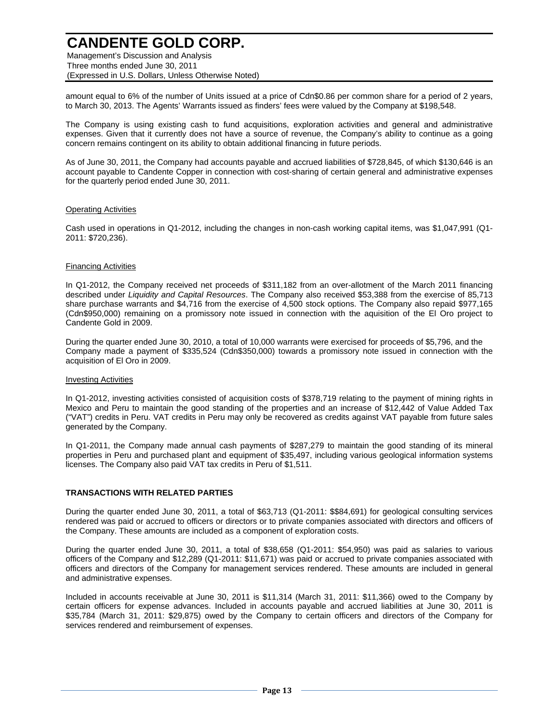Management's Discussion and Analysis Three months ended June 30, 2011 (Expressed in U.S. Dollars, Unless Otherwise Noted)

amount equal to 6% of the number of Units issued at a price of Cdn\$0.86 per common share for a period of 2 years, to March 30, 2013. The Agents' Warrants issued as finders' fees were valued by the Company at \$198,548.

The Company is using existing cash to fund acquisitions, exploration activities and general and administrative expenses. Given that it currently does not have a source of revenue, the Company's ability to continue as a going concern remains contingent on its ability to obtain additional financing in future periods.

As of June 30, 2011, the Company had accounts payable and accrued liabilities of \$728,845, of which \$130,646 is an account payable to Candente Copper in connection with cost-sharing of certain general and administrative expenses for the quarterly period ended June 30, 2011.

### Operating Activities

Cash used in operations in Q1-2012, including the changes in non-cash working capital items, was \$1,047,991 (Q1- 2011: \$720,236).

### Financing Activities

In Q1-2012, the Company received net proceeds of \$311,182 from an over-allotment of the March 2011 financing described under *Liquidity and Capital Resources*. The Company also received \$53,388 from the exercise of 85,713 share purchase warrants and \$4,716 from the exercise of 4,500 stock options. The Company also repaid \$977,165 (Cdn\$950,000) remaining on a promissory note issued in connection with the aquisition of the El Oro project to Candente Gold in 2009.

During the quarter ended June 30, 2010, a total of 10,000 warrants were exercised for proceeds of \$5,796, and the Company made a payment of \$335,524 (Cdn\$350,000) towards a promissory note issued in connection with the acquisition of El Oro in 2009.

### Investing Activities

In Q1-2012, investing activities consisted of acquisition costs of \$378,719 relating to the payment of mining rights in Mexico and Peru to maintain the good standing of the properties and an increase of \$12,442 of Value Added Tax ("VAT") credits in Peru. VAT credits in Peru may only be recovered as credits against VAT payable from future sales generated by the Company.

In Q1-2011, the Company made annual cash payments of \$287,279 to maintain the good standing of its mineral properties in Peru and purchased plant and equipment of \$35,497, including various geological information systems licenses. The Company also paid VAT tax credits in Peru of \$1,511.

### **TRANSACTIONS WITH RELATED PARTIES**

During the quarter ended June 30, 2011, a total of \$63,713 (Q1-2011: \$\$84,691) for geological consulting services rendered was paid or accrued to officers or directors or to private companies associated with directors and officers of the Company. These amounts are included as a component of exploration costs.

During the quarter ended June 30, 2011, a total of \$38,658 (Q1-2011: \$54,950) was paid as salaries to various officers of the Company and \$12,289 (Q1-2011: \$11,671) was paid or accrued to private companies associated with officers and directors of the Company for management services rendered. These amounts are included in general and administrative expenses.

Included in accounts receivable at June 30, 2011 is \$11,314 (March 31, 2011: \$11,366) owed to the Company by certain officers for expense advances. Included in accounts payable and accrued liabilities at June 30, 2011 is \$35,784 (March 31, 2011: \$29,875) owed by the Company to certain officers and directors of the Company for services rendered and reimbursement of expenses.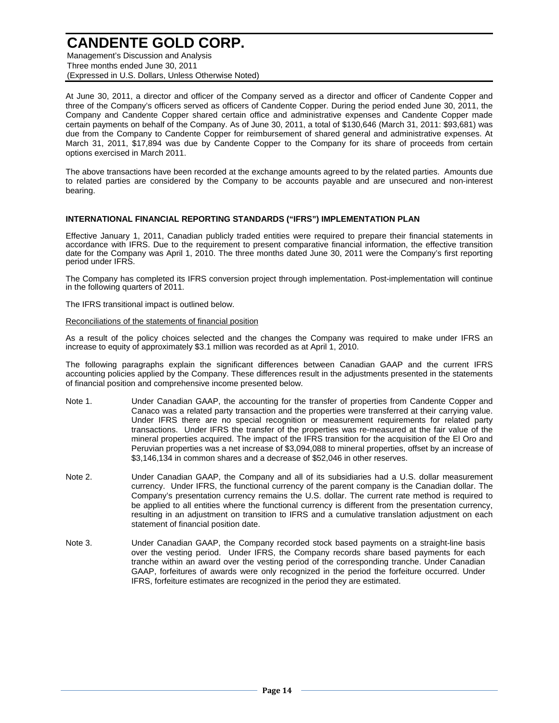Management's Discussion and Analysis Three months ended June 30, 2011 (Expressed in U.S. Dollars, Unless Otherwise Noted)

At June 30, 2011, a director and officer of the Company served as a director and officer of Candente Copper and three of the Company's officers served as officers of Candente Copper. During the period ended June 30, 2011, the Company and Candente Copper shared certain office and administrative expenses and Candente Copper made certain payments on behalf of the Company. As of June 30, 2011, a total of \$130,646 (March 31, 2011: \$93,681) was due from the Company to Candente Copper for reimbursement of shared general and administrative expenses. At March 31, 2011, \$17,894 was due by Candente Copper to the Company for its share of proceeds from certain options exercised in March 2011.

The above transactions have been recorded at the exchange amounts agreed to by the related parties. Amounts due to related parties are considered by the Company to be accounts payable and are unsecured and non-interest bearing.

### **INTERNATIONAL FINANCIAL REPORTING STANDARDS ("IFRS") IMPLEMENTATION PLAN**

Effective January 1, 2011, Canadian publicly traded entities were required to prepare their financial statements in accordance with IFRS. Due to the requirement to present comparative financial information, the effective transition date for the Company was April 1, 2010. The three months dated June 30, 2011 were the Company's first reporting period under IFRS.

The Company has completed its IFRS conversion project through implementation. Post-implementation will continue in the following quarters of 2011.

The IFRS transitional impact is outlined below.

### Reconciliations of the statements of financial position

As a result of the policy choices selected and the changes the Company was required to make under IFRS an increase to equity of approximately \$3.1 million was recorded as at April 1, 2010.

The following paragraphs explain the significant differences between Canadian GAAP and the current IFRS accounting policies applied by the Company. These differences result in the adjustments presented in the statements of financial position and comprehensive income presented below.

- Note 1. Under Canadian GAAP, the accounting for the transfer of properties from Candente Copper and Canaco was a related party transaction and the properties were transferred at their carrying value. Under IFRS there are no special recognition or measurement requirements for related party transactions. Under IFRS the transfer of the properties was re-measured at the fair value of the mineral properties acquired. The impact of the IFRS transition for the acquisition of the El Oro and Peruvian properties was a net increase of \$3,094,088 to mineral properties, offset by an increase of \$3,146,134 in common shares and a decrease of \$52,046 in other reserves.
- Note 2. Under Canadian GAAP, the Company and all of its subsidiaries had a U.S. dollar measurement currency. Under IFRS, the functional currency of the parent company is the Canadian dollar. The Company's presentation currency remains the U.S. dollar. The current rate method is required to be applied to all entities where the functional currency is different from the presentation currency, resulting in an adjustment on transition to IFRS and a cumulative translation adjustment on each statement of financial position date.
- Note 3. Under Canadian GAAP, the Company recorded stock based payments on a straight-line basis over the vesting period. Under IFRS, the Company records share based payments for each tranche within an award over the vesting period of the corresponding tranche. Under Canadian GAAP, forfeitures of awards were only recognized in the period the forfeiture occurred. Under IFRS, forfeiture estimates are recognized in the period they are estimated.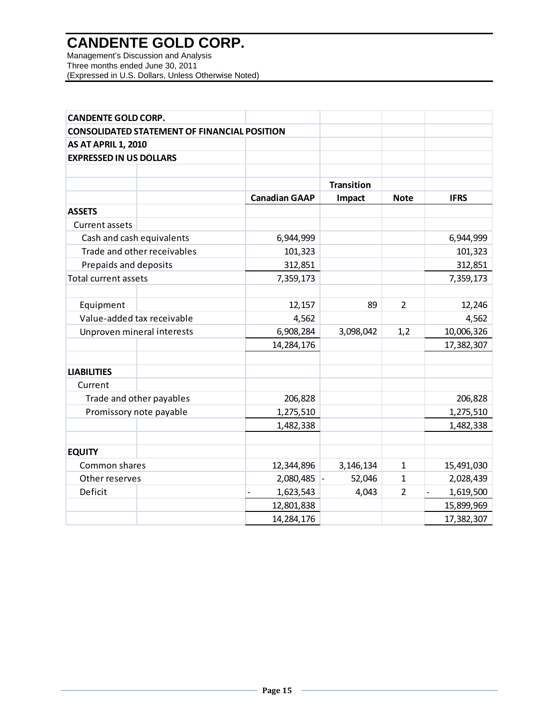Management's Discussion and Analysis Three months ended June 30, 2011 (Expressed in U.S. Dollars, Unless Otherwise Noted)

| <b>CANDENTE GOLD CORP.</b>                          |                      |                   |                |             |
|-----------------------------------------------------|----------------------|-------------------|----------------|-------------|
| <b>CONSOLIDATED STATEMENT OF FINANCIAL POSITION</b> |                      |                   |                |             |
| <b>AS AT APRIL 1, 2010</b>                          |                      |                   |                |             |
| <b>EXPRESSED IN US DOLLARS</b>                      |                      |                   |                |             |
|                                                     |                      |                   |                |             |
|                                                     |                      | <b>Transition</b> |                |             |
|                                                     | <b>Canadian GAAP</b> | Impact            | <b>Note</b>    | <b>IFRS</b> |
| <b>ASSETS</b>                                       |                      |                   |                |             |
| Current assets                                      |                      |                   |                |             |
| Cash and cash equivalents                           | 6,944,999            |                   |                | 6,944,999   |
| Trade and other receivables                         | 101,323              |                   |                | 101,323     |
| Prepaids and deposits                               | 312,851              |                   |                | 312,851     |
| <b>Total current assets</b>                         | 7,359,173            |                   |                | 7,359,173   |
|                                                     |                      |                   |                |             |
| Equipment                                           | 12,157               | 89                | $\overline{2}$ | 12,246      |
| Value-added tax receivable                          | 4,562                |                   |                | 4,562       |
| Unproven mineral interests                          | 6,908,284            | 3,098,042         | 1,2            | 10,006,326  |
|                                                     | 14,284,176           |                   |                | 17,382,307  |
|                                                     |                      |                   |                |             |
| <b>LIABILITIES</b>                                  |                      |                   |                |             |
| Current                                             |                      |                   |                |             |
| Trade and other payables                            | 206,828              |                   |                | 206,828     |
| Promissory note payable                             | 1,275,510            |                   |                | 1,275,510   |
|                                                     | 1,482,338            |                   |                | 1,482,338   |
|                                                     |                      |                   |                |             |
| <b>EQUITY</b>                                       |                      |                   |                |             |
| Common shares                                       | 12,344,896           | 3,146,134         | $\mathbf{1}$   | 15,491,030  |
| Other reserves                                      | 2,080,485            | 52,046            | 1              | 2,028,439   |
| Deficit                                             | 1,623,543            | 4,043             | $\overline{2}$ | 1,619,500   |
|                                                     | 12,801,838           |                   |                | 15,899,969  |
|                                                     | 14,284,176           |                   |                | 17,382,307  |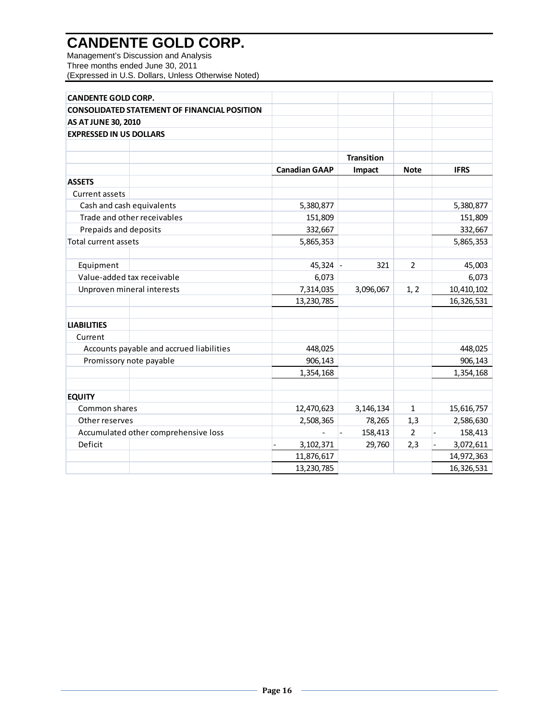Management's Discussion and Analysis Three months ended June 30, 2011 (Expressed in U.S. Dollars, Unless Otherwise Noted)

| <b>CANDENTE GOLD CORP.</b>                          |                      |                   |                |             |
|-----------------------------------------------------|----------------------|-------------------|----------------|-------------|
| <b>CONSOLIDATED STATEMENT OF FINANCIAL POSITION</b> |                      |                   |                |             |
| <b>AS AT JUNE 30, 2010</b>                          |                      |                   |                |             |
| <b>EXPRESSED IN US DOLLARS</b>                      |                      |                   |                |             |
|                                                     |                      |                   |                |             |
|                                                     |                      | <b>Transition</b> |                |             |
|                                                     | <b>Canadian GAAP</b> | Impact            | <b>Note</b>    | <b>IFRS</b> |
| <b>ASSETS</b>                                       |                      |                   |                |             |
| <b>Current assets</b>                               |                      |                   |                |             |
| Cash and cash equivalents                           | 5,380,877            |                   |                | 5,380,877   |
| Trade and other receivables                         | 151,809              |                   |                | 151,809     |
| Prepaids and deposits                               | 332,667              |                   |                | 332,667     |
| Total current assets                                | 5,865,353            |                   |                | 5,865,353   |
| Equipment                                           | $45,324$ -           | 321               | $\overline{2}$ | 45,003      |
| Value-added tax receivable                          | 6,073                |                   |                | 6,073       |
| Unproven mineral interests                          | 7,314,035            | 3,096,067         | 1, 2           | 10,410,102  |
|                                                     | 13,230,785           |                   |                | 16,326,531  |
|                                                     |                      |                   |                |             |
| <b>LIABILITIES</b>                                  |                      |                   |                |             |
| Current                                             |                      |                   |                |             |
| Accounts payable and accrued liabilities            | 448,025              |                   |                | 448,025     |
| Promissory note payable                             | 906,143              |                   |                | 906,143     |
|                                                     | 1,354,168            |                   |                | 1,354,168   |
| <b>EQUITY</b>                                       |                      |                   |                |             |
| Common shares                                       | 12,470,623           | 3,146,134         | $\mathbf{1}$   | 15,616,757  |
| Other reserves                                      | 2,508,365            | 78,265            | 1,3            | 2,586,630   |
| Accumulated other comprehensive loss                |                      | 158,413           | $\overline{2}$ | 158,413     |
| Deficit                                             | 3,102,371            | 29,760            | 2,3            | 3,072,611   |
|                                                     | 11,876,617           |                   |                | 14,972,363  |
|                                                     | 13,230,785           |                   |                | 16,326,531  |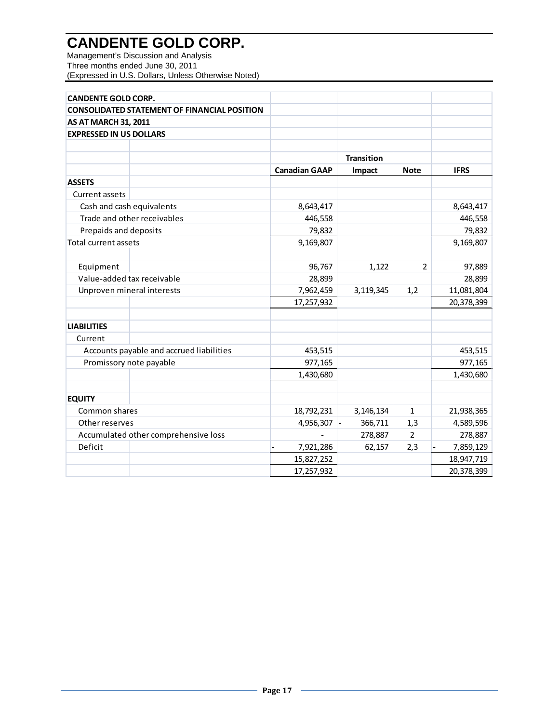Management's Discussion and Analysis Three months ended June 30, 2011 (Expressed in U.S. Dollars, Unless Otherwise Noted)

| <b>CANDENTE GOLD CORP.</b>                          |                      |                   |                |             |
|-----------------------------------------------------|----------------------|-------------------|----------------|-------------|
| <b>CONSOLIDATED STATEMENT OF FINANCIAL POSITION</b> |                      |                   |                |             |
| <b>AS AT MARCH 31, 2011</b>                         |                      |                   |                |             |
| <b>EXPRESSED IN US DOLLARS</b>                      |                      |                   |                |             |
|                                                     |                      |                   |                |             |
|                                                     |                      | <b>Transition</b> |                |             |
|                                                     | <b>Canadian GAAP</b> | Impact            | <b>Note</b>    | <b>IFRS</b> |
| <b>ASSETS</b>                                       |                      |                   |                |             |
| Current assets                                      |                      |                   |                |             |
| Cash and cash equivalents                           | 8,643,417            |                   |                | 8,643,417   |
| Trade and other receivables                         | 446,558              |                   |                | 446,558     |
| Prepaids and deposits                               | 79,832               |                   |                | 79,832      |
| <b>Total current assets</b>                         | 9,169,807            |                   |                | 9,169,807   |
|                                                     |                      |                   |                |             |
| Equipment                                           | 96,767               | 1,122             | $\overline{2}$ | 97,889      |
| Value-added tax receivable                          | 28,899               |                   |                | 28,899      |
| Unproven mineral interests                          | 7,962,459            | 3,119,345         | 1,2            | 11,081,804  |
|                                                     | 17,257,932           |                   |                | 20,378,399  |
|                                                     |                      |                   |                |             |
| <b>LIABILITIES</b>                                  |                      |                   |                |             |
| Current                                             |                      |                   |                |             |
| Accounts payable and accrued liabilities            | 453,515              |                   |                | 453,515     |
| Promissory note payable                             | 977,165              |                   |                | 977,165     |
|                                                     | 1,430,680            |                   |                | 1,430,680   |
|                                                     |                      |                   |                |             |
| <b>EQUITY</b>                                       |                      |                   |                |             |
| Common shares                                       | 18,792,231           | 3,146,134         | 1              | 21,938,365  |
| Other reserves                                      | $4,956,307$ -        | 366,711           | 1,3            | 4,589,596   |
| Accumulated other comprehensive loss                |                      | 278,887           | $\overline{2}$ | 278,887     |
| Deficit                                             | 7,921,286            | 62,157            | 2,3            | 7,859,129   |
|                                                     | 15,827,252           |                   |                | 18,947,719  |
|                                                     | 17,257,932           |                   |                | 20,378,399  |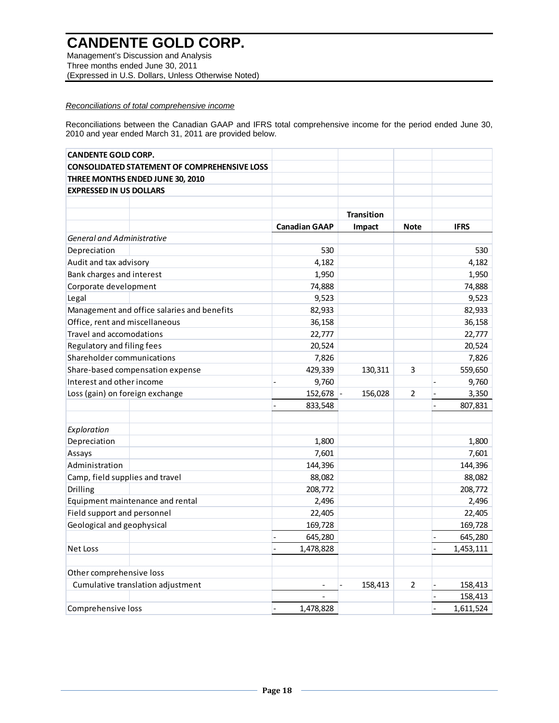Management's Discussion and Analysis Three months ended June 30, 2011 (Expressed in U.S. Dollars, Unless Otherwise Noted)

## *Reconciliations of total comprehensive income*

Reconciliations between the Canadian GAAP and IFRS total comprehensive income for the period ended June 30, 2010 and year ended March 31, 2011 are provided below.

| <b>CANDENTE GOLD CORP.</b>                  |                                                     |                           |                   |                |                           |
|---------------------------------------------|-----------------------------------------------------|---------------------------|-------------------|----------------|---------------------------|
|                                             | <b>CONSOLIDATED STATEMENT OF COMPREHENSIVE LOSS</b> |                           |                   |                |                           |
|                                             | THREE MONTHS ENDED JUNE 30, 2010                    |                           |                   |                |                           |
| <b>EXPRESSED IN US DOLLARS</b>              |                                                     |                           |                   |                |                           |
|                                             |                                                     |                           |                   |                |                           |
|                                             |                                                     |                           | <b>Transition</b> |                |                           |
|                                             |                                                     | <b>Canadian GAAP</b>      | Impact            | <b>Note</b>    | <b>IFRS</b>               |
| <b>General and Administrative</b>           |                                                     |                           |                   |                |                           |
| Depreciation                                |                                                     | 530                       |                   |                | 530                       |
| Audit and tax advisory                      |                                                     | 4,182                     |                   |                | 4,182                     |
| Bank charges and interest                   |                                                     | 1,950                     |                   |                | 1,950                     |
| Corporate development                       |                                                     | 74,888                    |                   |                | 74,888                    |
| Legal                                       |                                                     | 9,523                     |                   |                | 9,523                     |
| Management and office salaries and benefits |                                                     | 82,933                    |                   |                | 82,933                    |
| Office, rent and miscellaneous              |                                                     | 36,158                    |                   |                | 36,158                    |
| Travel and accomodations                    |                                                     | 22,777                    |                   |                | 22,777                    |
| Regulatory and filing fees                  |                                                     | 20,524                    |                   |                | 20,524                    |
| Shareholder communications                  |                                                     | 7,826                     |                   |                | 7,826                     |
| Share-based compensation expense            |                                                     | 429,339                   | 130,311           | 3              | 559,650                   |
| Interest and other income                   |                                                     | 9,760                     |                   |                | 9,760                     |
| Loss (gain) on foreign exchange             |                                                     | 152,678                   | 156,028           | $\overline{2}$ | 3,350                     |
|                                             |                                                     | 833,548                   |                   |                | 807,831                   |
|                                             |                                                     |                           |                   |                |                           |
| Exploration                                 |                                                     |                           |                   |                |                           |
| Depreciation                                |                                                     | 1,800                     |                   |                | 1,800                     |
| Assays                                      |                                                     | 7,601                     |                   |                | 7,601                     |
| Administration                              |                                                     | 144,396                   |                   |                | 144,396                   |
| Camp, field supplies and travel             |                                                     | 88,082                    |                   |                | 88,082                    |
| Drilling                                    |                                                     | 208,772                   |                   |                | 208,772                   |
| Equipment maintenance and rental            |                                                     | 2,496                     |                   |                | 2,496                     |
| Field support and personnel                 |                                                     | 22,405                    |                   |                | 22,405                    |
| Geological and geophysical                  |                                                     | 169,728                   |                   |                | 169,728                   |
|                                             |                                                     | 645,280<br>$\overline{a}$ |                   |                | 645,280<br>$\overline{a}$ |
| Net Loss                                    |                                                     | 1,478,828                 |                   |                | 1,453,111                 |
| Other comprehensive loss                    |                                                     |                           |                   |                |                           |
| Cumulative translation adjustment           |                                                     |                           | 158,413           | 2              | 158,413                   |
|                                             |                                                     |                           |                   |                | 158,413                   |
| Comprehensive loss                          |                                                     | 1,478,828                 |                   |                | 1,611,524                 |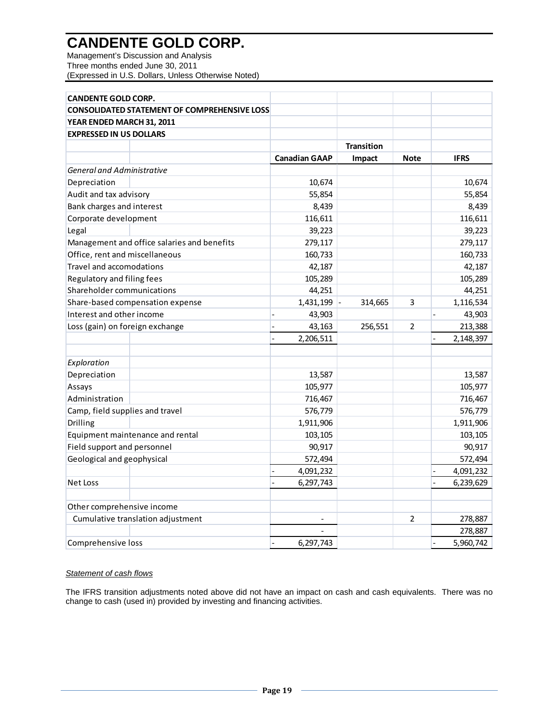Management's Discussion and Analysis Three months ended June 30, 2011 (Expressed in U.S. Dollars, Unless Otherwise Noted)

| <b>CANDENTE GOLD CORP.</b>                          |                             |                   |                          |             |  |  |  |  |
|-----------------------------------------------------|-----------------------------|-------------------|--------------------------|-------------|--|--|--|--|
| <b>CONSOLIDATED STATEMENT OF COMPREHENSIVE LOSS</b> |                             |                   |                          |             |  |  |  |  |
| YEAR ENDED MARCH 31, 2011                           |                             |                   |                          |             |  |  |  |  |
| <b>EXPRESSED IN US DOLLARS</b>                      |                             |                   |                          |             |  |  |  |  |
|                                                     |                             | <b>Transition</b> |                          |             |  |  |  |  |
|                                                     | <b>Canadian GAAP</b>        | Impact            | <b>Note</b>              | <b>IFRS</b> |  |  |  |  |
| <b>General and Administrative</b>                   |                             |                   |                          |             |  |  |  |  |
| Depreciation                                        | 10,674                      |                   |                          | 10,674      |  |  |  |  |
| Audit and tax advisory                              | 55,854                      |                   |                          | 55,854      |  |  |  |  |
| Bank charges and interest                           | 8,439                       |                   |                          | 8,439       |  |  |  |  |
| Corporate development                               | 116,611                     |                   |                          | 116,611     |  |  |  |  |
| Legal                                               | 39,223                      |                   |                          | 39,223      |  |  |  |  |
| Management and office salaries and benefits         | 279,117                     |                   |                          | 279,117     |  |  |  |  |
| Office, rent and miscellaneous                      | 160,733                     |                   |                          | 160,733     |  |  |  |  |
| Travel and accomodations                            | 42,187                      |                   |                          | 42,187      |  |  |  |  |
| Regulatory and filing fees                          | 105,289                     |                   |                          | 105,289     |  |  |  |  |
| Shareholder communications                          | 44,251                      |                   |                          | 44,251      |  |  |  |  |
| Share-based compensation expense                    | 1,431,199                   | 314,665           | 3                        | 1,116,534   |  |  |  |  |
| Interest and other income                           | 43,903                      |                   |                          | 43,903      |  |  |  |  |
| Loss (gain) on foreign exchange                     | 43,163                      | 256,551           | 2                        | 213,388     |  |  |  |  |
|                                                     | 2,206,511<br>$\overline{a}$ |                   | $\overline{\phantom{a}}$ | 2,148,397   |  |  |  |  |
|                                                     |                             |                   |                          |             |  |  |  |  |
| Exploration                                         |                             |                   |                          |             |  |  |  |  |
| Depreciation                                        | 13,587                      |                   |                          | 13,587      |  |  |  |  |
| Assays                                              | 105,977                     |                   |                          | 105,977     |  |  |  |  |
| Administration                                      | 716,467                     |                   |                          | 716,467     |  |  |  |  |
| Camp, field supplies and travel                     | 576,779                     |                   |                          | 576,779     |  |  |  |  |
| Drilling                                            | 1,911,906                   |                   |                          | 1,911,906   |  |  |  |  |
| Equipment maintenance and rental                    | 103,105                     |                   |                          | 103,105     |  |  |  |  |
| Field support and personnel                         | 90,917                      |                   |                          | 90,917      |  |  |  |  |
| Geological and geophysical                          | 572,494                     |                   |                          | 572,494     |  |  |  |  |
|                                                     | 4,091,232<br>$\overline{a}$ |                   | $\overline{a}$           | 4,091,232   |  |  |  |  |
| <b>Net Loss</b>                                     | 6,297,743<br>$\overline{a}$ |                   | $\overline{a}$           | 6,239,629   |  |  |  |  |
|                                                     |                             |                   |                          |             |  |  |  |  |
| Other comprehensive income                          |                             |                   |                          |             |  |  |  |  |
| Cumulative translation adjustment                   |                             |                   | $\overline{2}$           | 278,887     |  |  |  |  |
|                                                     |                             |                   |                          | 278,887     |  |  |  |  |
| Comprehensive loss                                  | 6,297,743                   |                   |                          | 5,960,742   |  |  |  |  |

# *Statement of cash flows*

The IFRS transition adjustments noted above did not have an impact on cash and cash equivalents. There was no change to cash (used in) provided by investing and financing activities.